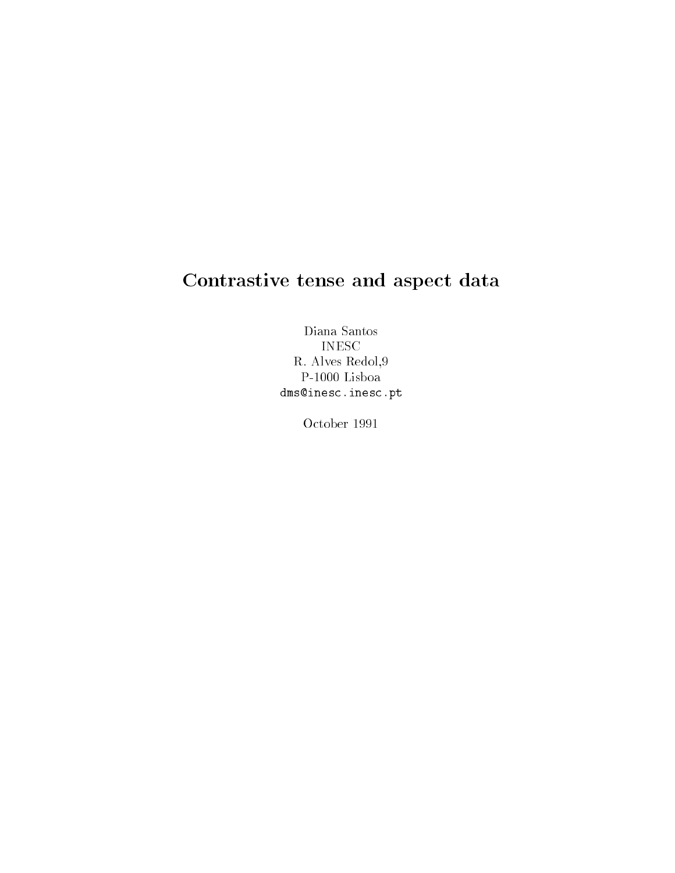# Contrastive tense and aspect data

Diana Santos INESC R- Alves Redol P-1000 Lisboa dms-inescinescpt

October 1991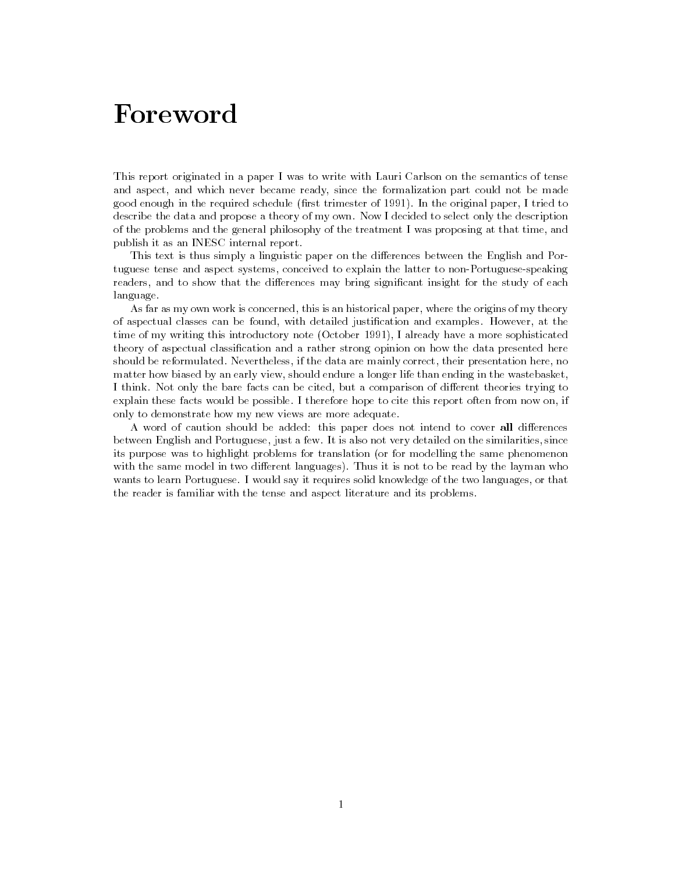This report originated in a paper I was to write with Lauri Carlson on the semantics of tense and aspect-became ready-became ready-became ready-became ready-became ready-beneformalization part could not b good enough in the required schedule rst trimester of In the original paper- I tried to describe the data and propose a theory of my own. Now I decided to select only the description of the problems and the general philosophy of the treatmentIwas proposing at that time- and publish it as an INESC internal report

This text is thus simply a linguistic paper on the differences between the English and Portuguese tense and aspect systems- conceived to explain the latter to non Portuguese speaking readers- and to show that the di erences may bring signicant insight for the study of each language

As far as my own work is concerned- this is an historical paper- where the origins of my theory of aspectual classes can be found-parties at the production and examples the collection and examples  $\sim$ time of my writing this introductory note  $\mathcal I$  a correct  $\mathcal I$  of this is more a more sophisticated a more theory of aspectual classication and a rather strong opinion on how the data presented here , if the data are mainly corrected the data are mainly corrected the correct corrected the corrected the corre matter how biased by an early view-part and wasted in the water life than end in the wasted in the wasted In this Not only the bare facts can be comparison of distribution of distribution of distribution of  $\mathcal{A}$ explain these facts would be possible I therefore hope to cite this report often from now on- if only to demonstrate how my new views are more adequate

A word of caution should be added: this paper does not intend to cover all differences between English and Portuguese- just a few It is also not very detailed on the similarities- since its purpose was to highlight problems for translation (or for modelling the same phenomenon with the same model in two different languages). Thus it is not to be read by the layman who wants to learn Portuguese I would say it requires solid to the two languages solid knowledge of the two languagesthe reader is familiar with the tense and aspect literature and its problems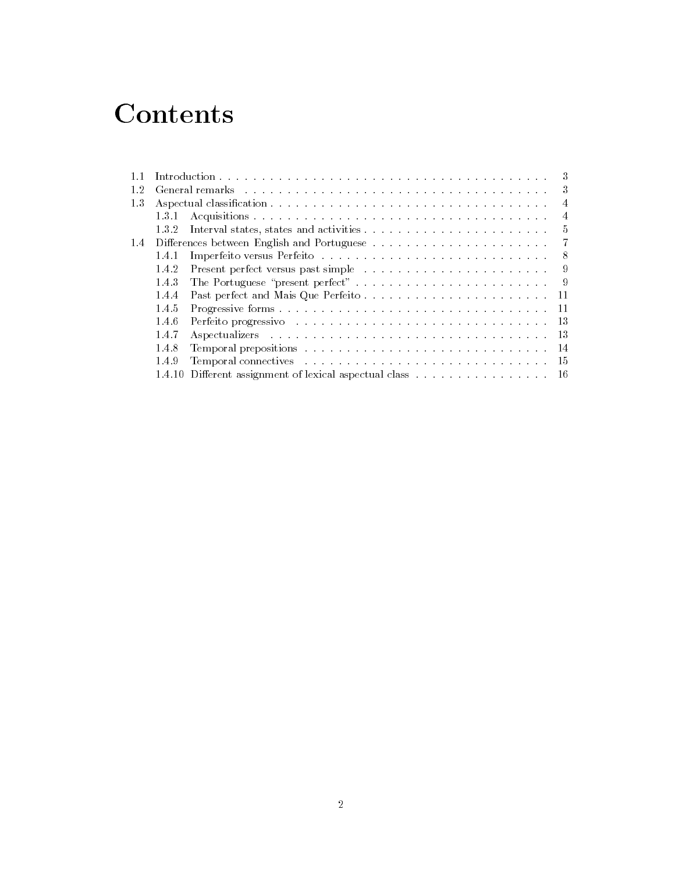# **Contents**

|     |       |                                                                                                                                                                                                                                     | 3   |
|-----|-------|-------------------------------------------------------------------------------------------------------------------------------------------------------------------------------------------------------------------------------------|-----|
| 12  |       | General remarks entering the contract of the contract of the contract of the contract of the contract of the contract of the contract of the contract of the contract of the contract of the contract of the contract of the c      |     |
| 1.3 |       |                                                                                                                                                                                                                                     | 4   |
|     | 131   |                                                                                                                                                                                                                                     | 4   |
|     | 132   |                                                                                                                                                                                                                                     | .5  |
| 1.4 |       |                                                                                                                                                                                                                                     |     |
|     | 141   |                                                                                                                                                                                                                                     | - 8 |
|     | 142   |                                                                                                                                                                                                                                     | -9  |
|     | 1.4.3 |                                                                                                                                                                                                                                     | - 9 |
|     | 1.4.4 |                                                                                                                                                                                                                                     |     |
|     | 1.4.5 |                                                                                                                                                                                                                                     |     |
|     | 1.4.6 | Perfeito progressivo establecente de la conservación de la conservación de la conservación de la conservación                                                                                                                       | -13 |
|     | 1.4.7 | Aspectualizers resources in the contract of the contract of the contract of the contract of the contract of the contract of the contract of the contract of the contract of the contract of the contract of the contract of th      | -13 |
|     | 1.4.8 |                                                                                                                                                                                                                                     | -14 |
|     | 1.4.9 | <b>Temporal connectives</b> enterprise in the series of the series of the series of the series of the series of the series of the series of the series of the series of the series of the series of the series of the series of the | -15 |
|     |       | 1.4.10 Different assignment of lexical aspectual class                                                                                                                                                                              | -16 |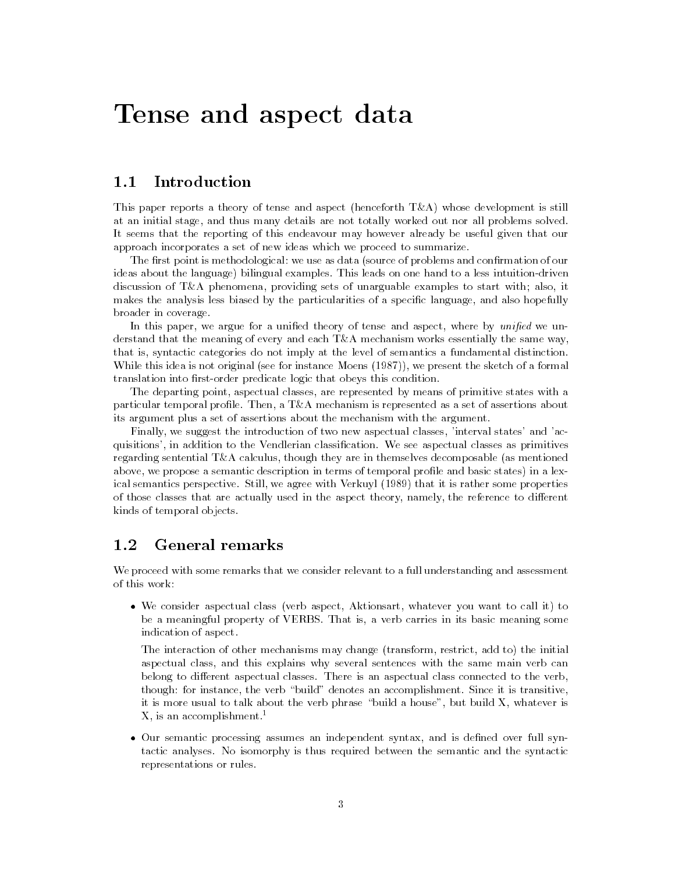# Tense and aspect data

#### $1.1$ Introduction

This paper reports a theory of tense and aspect (henceforth  $T\&A$ ) whose development is still at an initial stage- and thus many details are not totally worked out nor all problems solved It seems that the reporting of this endeavour may however already be useful given that our approach incorporates a set of new ideas which we proceed to summarize

The first point is methodological: we use as data (source of problems and confirmation of our ideas about the language bilingual examples This leads on one hand to a less intuition driven and ment of the providing providing sets of unarguable consequents to start with alsomakes the analysis less biased by the particularities of a specific language-case and also hopefully broader in coverage

en in paper, we under the woman include the tense where where, where it which we use derstand that the meaning of every and each  $T\&A$  mechanism works essentially the same way, that is- syntactic categories do not imply at the level of semantics a fundamental distinction while this idea is not original see for instance moetime see for a formal the sheeted of a formal translation into rst order predicate logic that obeys this condition

The departing point- aspectual classes- are represented by means of primitive states with a particular temporal prole Then- a TA mechanism is represented as a set of assertions about its argument plus a set of assertions about the mechanism with the argument

Finally- we suggest the introduction of two new aspectual classes- interval states and ac quisitions- in addition to the Vendlerian classication We see aspectual classes as primitives regarding sentential TA calculus- though they are in themselves decomposable as mentioned above- we propose a semantic description in terms of temporal prole and basic states in a lex ical semantics perspective still- still- signed with Italia it is rather in the finite some properties of these classes that are actually used in the aspect theory-producer, the first theory- to difference kinds of temporal objects

#### $1.2\,$ General remarks

We proceed with some remarks that we consider relevant to a full understanding and assessment of this work

which consider as performed class verb aspect-to consider the call it to call it to call it to call it to call be a meaningful property of VERBS That is the verb carries in its basic meaning some indication of aspect

The interaction of other mechanisms may change transform- restrict- add to the initial aspectual class- and this explains with the selection serves with the same main verb can can belong to different aspectual classes. There is an aspectual class connected to the verb, the verb for instance- the verb complete and the verb build denotes an accomplishment  $\alpha$  is the continuation it is more usual to talk about the verb phrase build a house- but build X- whatever is  $\Lambda$ , is an accomplishment.  $\hspace{0.1mm}$ 

 Our semantic processing assumes an independent syntax- and is dened over full syn tactic analyses No isomorphy is thus required between the semantic and the syntactic representations or rules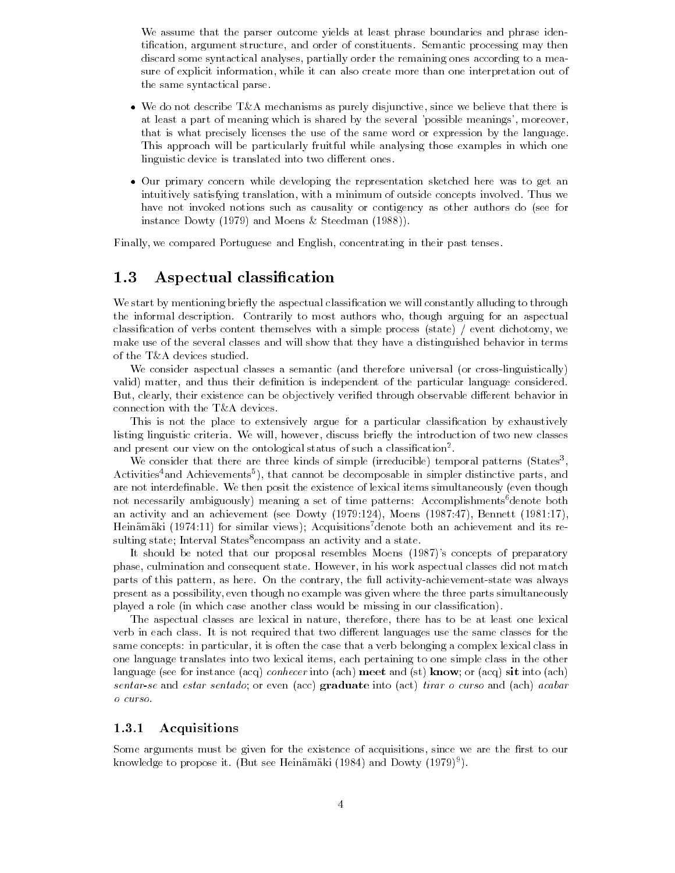We assume that the parser outcome yields at least phrase boundaries and phrase identication- argument structure- and order of constituents Semantic processing may then discard some syntactical analyses- partially order the remaining ones according to a mea sure of explicit information- while it can also create more than one interpretation-  $\mathbb{R}^n$ the same syntactical parse

- we do not describe TA mechanisms as purely disjunctive-up as the there is the there is the there is the the at least a part of meaning which is shared by the several possible meanings- moreoverthat is what precisely licenses the use of the same word or expression by the language This approach will be particularly fruitful while analysing those examples in which one linguistic device is translated into two different ones.
- Our primary concern while developing the representation sketched here was to get an intuitively satisfying translation- with a minimum of outside concepts involved Thus we have the have not invoked notions such as causality or contigency as other authors do (see for instance Dowty  $(1979)$  and Moens & Steedman  $(1988)$ .

Finally- we compared Portuguese and English- concentrating in their past tenses

#### $1.3\,$ Aspectual classification

We start by mentioning briefly the aspectual classification we will constantly alluding to through the informal description Contrarily to most authors who- though arguing for an aspectual classication of verbs content themselves with a simple process state event dichotomy- we make use of the several classes and will show that they have a distinguished behavior in terms of the T&A devices studied.

We consider aspectual classes a semantic and therefore universal or cross linguistically valid matter- and thus their denition is independent of the particular language considered abil clearly-limited can be objectively the objectively verified that a material distribution in the limit of connection with the T&A devices.

This is not the place to extensively argue for a particular classification by exhaustively listing linguistic criteria We will- however- discuss briey the introduction of two new classes and present our view on the ontological status of such a classification-.

We consider that there are three kinds of simple (irreducible) temporal patterns (States , Activities and Achievements ), that cannot be decomposable in simpler distinctive parts, and are not interdefinable. We then posit the existence of lexical items simultaneously (even though not necessarily ambiguously) meaning a set of time patterns: Accomplishments  $6$  denote both an activity and activity and achievement see Dowty and achievement see Dowty and activity and activity and activity and activity and activity and activity and activity and activity and activity and activity and activity an Heinamaki (1974:11) for similar views); Acquisitions<sup>7</sup> denote both an achievement and its resulting state; Interval States<sup>8</sup>encompass an activity and a state.

It should be noted that our proposal resembles Moens  $(1987)$ 's concepts of preparatory phase- culmination and consequent state However- in his work aspectual classes did not match parts of this pattern- as here On the contrary- the full activity achievement state was always present as a possibility- even though no example was given where the three parts simultaneously played a role (in which case another class would be missing in our classification).

The aspectual classes are lexical in nature- therefore- there has to be at least one lexical verb in each class. It is not required that two different languages use the same classes for the same concepts in particular, it is often the case that a complex decomplex complex complex lexical complex lex one language translates into two lexical items- each pertaining to one simple class in the other language (see for instance (acq) *conhecer* into (ach) meet and (st) know; or (acq) sit into (ach) sentar-se and estar sentado; or even (acc) graduate into (act) tirar o curso and (ach) acabar o curso

#### Acquisitions

some arguments means as given for the existence of acquisitions, and it are the rate of a knowledge to propose it. [But see Heinamaki [1984] and Dowty [1979]].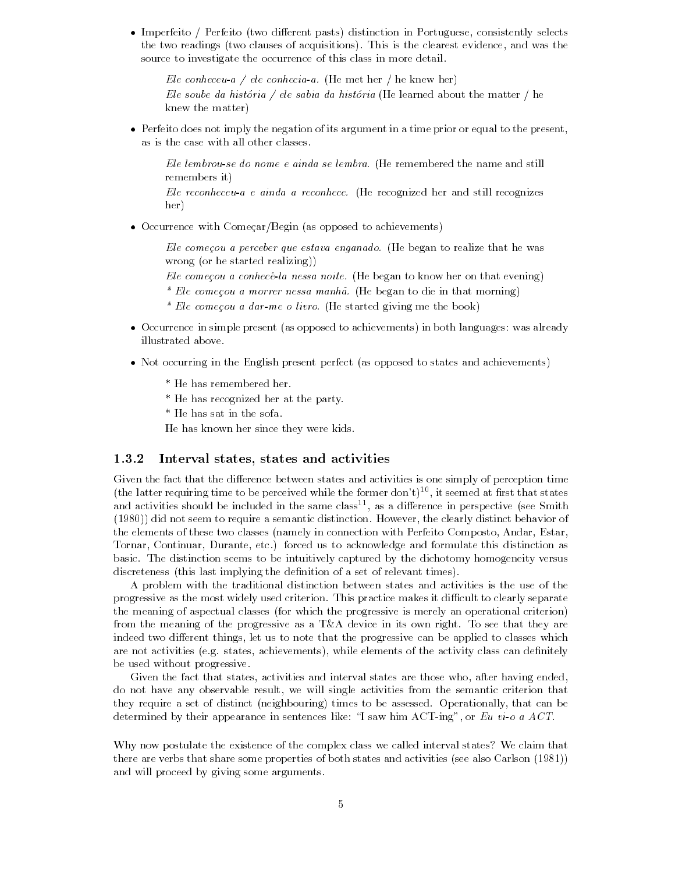imperfective to the first distinction pasts pasts distinction in Portuguese-Constant and the constant of the c the two readings two clauses of acquisitions This is the clearest evidence- and was the source to investigate the occurrence of this class in more detail

Ele conheceu-a / ele conhecia-a. (He met her / he knew her) Ele soube da história / ele sabia da história (He learned about the matter / he knew the matter

 Perfeito does not imply the negation of its argument in a time prior or equal to the presentas is the case with all other classes

Ele lembrou-se do nome e ainda se lembra. (He remembered the name and still remembers it

Ele reconheceu-a e ainda a reconhece. (He recognized her and still recognizes her

• Occurrence with Começar/Begin (as opposed to achievements)

Ele começou a perceber que estava enganado. (He began to realize that he was wrong (or he started realizing))

Ele começou a conhecé-la nessa noite. (He began to know her on that evening)

- Ele comecou a morrer nessa manh a He began to die in that morning
- \* Ele começou a dar-me o livro. (He started giving me the book)
- $\bullet$  Occurrence in simple present (as opposed to achievements) in both languages: was already illustrated above
- Not occurring in the English present perfect (as opposed to states and achievements)
	- \* He has remembered her.
	- \* He has recognized her at the party.
	- \* He has sat in the sofa.

He has known her since they were kids

#### Interval states states and activities

Given the fact that the difference between states and activities is one simply of perception time (the latter requiring time to be perceived while the former don t)  $\sim$  , it seemed at first that states and activities should be included in the same classed, as a difference in perspective (see Smith did not seem to require a semantic distinction However- the clearly distinct behavior of the elements of these two classes namely in connection with Perfeito Composto- Andar- Estartornaries are continued to accept and formulate the continuation and formulate this distinction as a continued basic The distinction seems to be intuitively captured by the dichotomy homogeneity versus discreteness (this last implying the definition of a set of relevant times).

A problem with the traditional distinction between states and activities is the use of the progressive as the most widely used criterion. This practice makes it difficult to clearly separate the meaning of aspectual classes for which the progressive is merely an operational criterion from the meaning of the progressive as a T&A device in its own right. To see that they are indeed two different things-progress and the progressive can be applied to classes which the complete which the are not activities page states, achievements, contract class can denitely class can denimitely be used without progressive

Given the fact that states are the fact that states are the states and interval states are those who at do not have any observable result- we will single activities from the semantic criterion that they require a set of distinct neighbouring times to be assessed Operationally- that can be determined by the internal sentences like I saw him ACT appearance in sentences like I saw him ACT and the I sa

Why now postulate the existence of the complex class we called interval states? We claim that there are verbs that share some properties of both states and activities (see also Carlson  $(1981)$ ) and will proceed by giving some arguments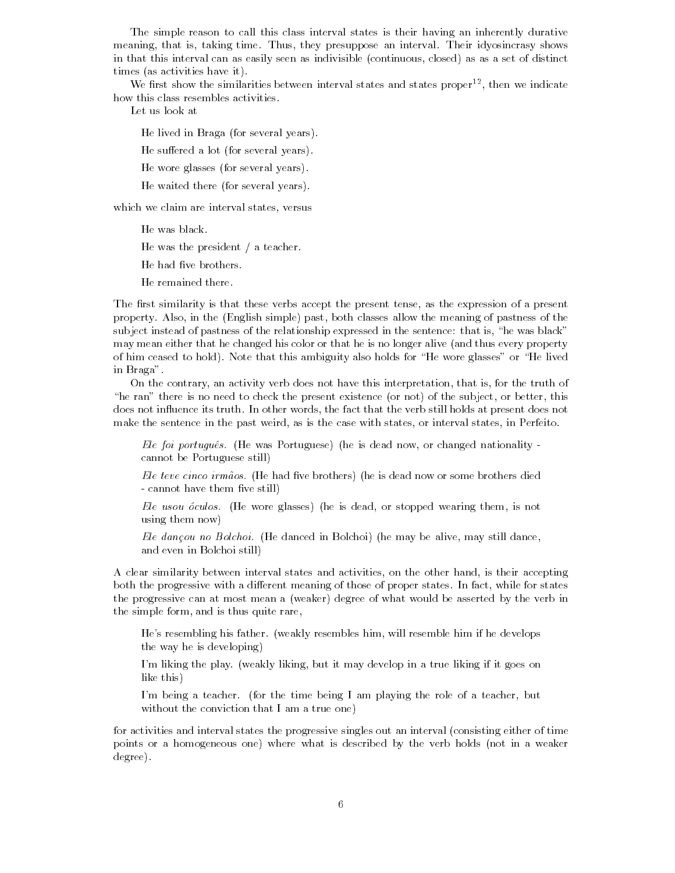The simple reason to call this class interval states is their having an inherently durative meaning- that is- taking time Thus- they presuppose an interval Their idyosincrasy shows in that this interval can as easily seen as indivisible continuous- closed as as a set of distinct times (as activities have it).

we first show the similarities between interval states and states proper--, then we indicate how this class resembles activities

Let us look at

He lived in Braga (for several years).

He suffered a lot (for several years).

He wore glasses (for several years).

He waited there (for several years).

which we can state and interval states-

He was black

He was the president  $/$  a teacher.

He had five brothers.

He remained there

The rst similarity is that these verbs accept the present tense- as the expression of a present property Also- in the English simple past- both classes allow the meaning of pastness of the subject instead of pastness of the relationship expressed in the sentence that is- he was black may mean either that he changed his color or that he is no longer alive (and thus every property of him ceased to hold). Note that this ambiguity also holds for "He wore glasses" or "He lived in Braga

, and contrary, we does the truth of the this interpretation-pretention, which interpretation-. He raise there is no here is there are present existence for not, at any oral or of the subjectdoes not inuence its truth In other words- the fact that the verb still holds at present does not make the sentence in the past weird- as is the case with states- or interval states- in Perfeito

Ele foi portugues He was Portuguese he is dead now- or changed nationality cannot be Portuguese still

Ele teve cinco irm aos He had ve brothers he is dead now or some brothers died cannot have the state that is controlled

Ele usou oculos He wore glasses he is dead- or stopped wearing them- is not using them now

ele dance in die Bolchoi het dancele in Bolchoi het may die mars in Bolchoi dance-benaars and even in Bolchoi still

A clear similarity between interval states and activities- on the other hand- is their accepting both the progressive with a dimensioned measuring it these stapped states in fact, while for states the progressive can at most mean a (weaker) degree of what would be asserted by the verb in the simple form-dimensional control in the simple form-dimensional control in the simple state  $\alpha$ 

Hes resembling his father weakly resembles him- will resemble him if he develops the way he is developing

Im liking the play weakly liking- but it may develop in a true liking if it goes on like this

Im being a teacher for the time being  $\mathbf{A}$  and  $\mathbf{B}$  am playing the role of a teacher-but  $\mathbf{A}$ without the conviction that I am a true one)

for activities and interval states the progressive singles out an interval consisting either of time points or a homogeneous one) where what is described by the verb holds (not in a weaker degree).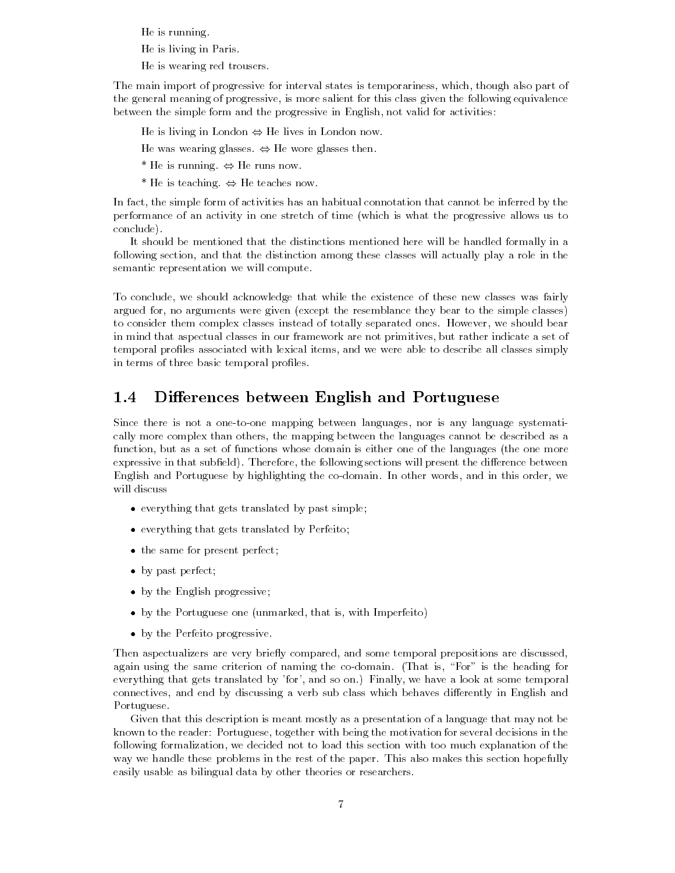He is running

He is living in Paris

He is wearing red trousers

The main import of progressive for interval states is temporariness- which- though also part of the general meaning of progressive- is more salient for this class given the following equivalence between the simple form and the progressive in English- not valid for activities

He is living in London - He lives in London now

He was wearing glasses - He wore glasses then

He is running - He runs now

He is teaching - He teaches now

In fact- the simple form of activities has an habitual connotation that cannot be inferred by the performance of an activity in one stretch of time (which is what the progressive allows us to conclude

It should be mentioned that the distinctions mentioned here will be handled formally in a following section- and that the distinction among these classes will actually play a role in the semantic representation we will compute

To conclude that we show that while the existence of the existence of the existence of the existence of the existence of the existence of the existence of the existence of the existence of the existence of the existence of argued for- no arguments were given except the resemblance they bear to the simple classes to consider them complex classes instead of totally separated ones However- we should bear in mind that aspectual classes in our framework are not primitives- but rather indicate a set of temporal promise associated with lexical items- and with lexical items- items- able to describe all classes si in terms of three basic temporal profiles.

#### $1.4\,$ Differences between English and Portuguese

Since there is not a one to one mapping between languages- nor is any language systemati cally more complex than others- the mapping between the languages cannot be described as a function- but as a set of functions whose domain is either one of the languages the one more expressive in that subeld Therefore- the following sections will present the di erence between English and Portuguese by highlighting the co domain In other words- and in this order- we will discuss

- $\bullet$  everything that gets translated by past simple;
- $\bullet$  everything that gets translated by Perfeito;
- the same for present perfect;
- by past perfect;
- by the English progressive;
- by the Portuguese one unmarked- that is- with Imperfeito
- by the Perfeito progressive.

Then aspectualizers are very briey compared- and some temporal prepositions are discussedagain using the same criterion of naming the co-domain  $\frac{1}{2}$  for  $\frac{1}{2}$  ,  $\frac{1}{2}$  ,  $\frac{1}{2}$  ,  $\frac{1}{2}$ every thing that gets translated by for-part and some temporally-temporally-some temporallyconnectives-by discussing and end by discussing a verb submit class which be differently in English and and Portuguese

Given that this description is meant mostly as a presentation of a language that may not be known to the reader Portuguese- together with being the motivation for several decisions in the following formalization- we decided not to load this section with too much explanation of the way we handle these problems in the rest of the paper. This also makes this section hopefully easily usable as bilingual data by other theories or researchers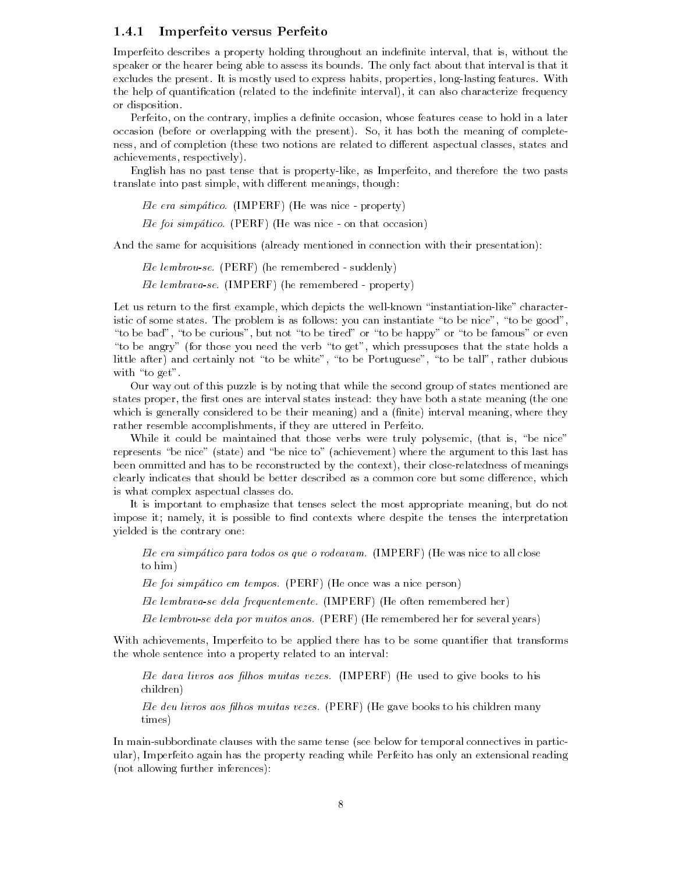### Imperfeito versus Perfeito

Imperfeito describes a property holding throughout an indenite interval- that is- without the speaker or the hearer being able to assess its bounds The only fact about that interval is that it excludes the present It is mostly used to express habits- properties- long lasting features With the help st quantitive printication is the indentity interval, it can also characterize frequency or disposition

Perfeito- on the contrary- implies a denite occasion- whose features cease to hold in a later occasion present or overlapping with the present So-pair So-meaning So-complete  $\sim$ ness- and of completion these two notions are related to di erent aspectual classes- states and achievements-weight-contractively-

English has no past tense that is property like- as Imperfeito- and therefore the two pasts translate into past simple-dimensional meanings-benefits-dimensional meanings-benefits-dimensional meanings-ben

Ele era simpatico IMPERF He was nice property

Ele foi simpatico PERF He was nice on that occasion

And the same for acquisitions (already mentioned in connection with their presentation):

Ele lembrouse PERF he remembered suddenly

Ele lembravase IMPERF he remembered property

Let us return to the rst example- which depicts the well known instantiation like character istic of some states The problem is as follows you can instantiate to be nice- to be good-. To be but to be considered or to be tired or to be the famous or to be famous or to be famous or to be famou to be angry for these you need the verb to get-finished pressuposes that the needs at the state  $\alpha$ little after and certainly not to be white- to be Portuguese- to be tall- rather dubious with "to  $get$ ".

Our way out of this puzzle is by noting that while the second group of states mentioned are states proper- the rst ones are interval states instead they have both a state meaning the one which is generally considered to be the their meaning-theoretical meaning-they are the interval meaning-they are rather resemble accomplishments- if they are uttered in Perfeito

while it could be maintained that those verbs were truly polysemic- (that is, we mill represents "be nice" (state) and "be nice to" (achievement) where the argument to this last has been ommitted and has to be reconstructed by the context- their close relatedness of meanings clearly indicates that showled be better described as a common core but some difference ( ) which is what complex aspectual classes do

It is important to emphasize that tenses select the most appropriate meaning- but do not impose it interest, it is possible to inter-tenses the interest the tenses the interpretations of yielded is the contrary one

Ele era simpático para todos os que o rodeavam.  $\text{IMPERF}$  (He was nice to all close to him

Ele foi simpático em tempos. (PERF) (He once was a nice person)

Ele lembrava-se dela frequentemente.  $\text{IMPERF}$  (He often remembered her)

Ele lembrou-se dela por muitos anos. (PERF) (He remembered her for several years)

with active to be applied to be a proportional that there are a some quantities that transforms that the whole sentence into a property related to an interval

ele dava livros aos <sub>l</sub>hos muitas livros inter peree entre <sub>i</sub> pere entre la <sub>p</sub>erio a coesa in entre children

Ele deu livros aos -lhos muitas vezes PERF He gave books to his children many times

In main subbordinate clauses with the same tense see below for temporal connectives in partic ular- Imperfeito again has the property reading while Perfeito has only an extensional reading not allowing further inferences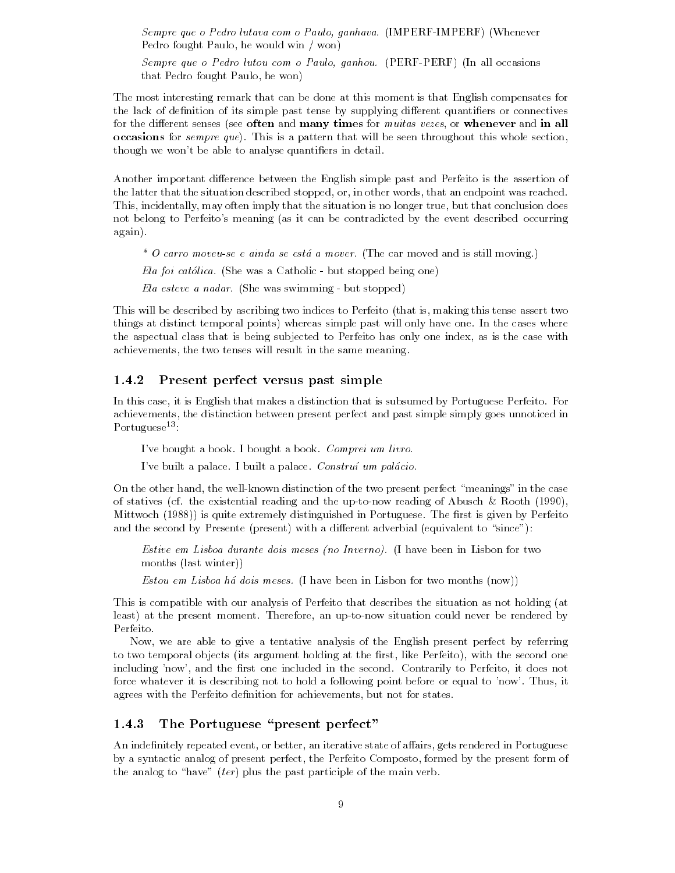Sempre que o Pedro lutava com o Paulo ganhava IMPERF IMPERF Whenever Pedro fought Paulo- he would win won

Sempre que o Pedro lutou com o Paulo ganhou PERF PERF In all occasions that Pedro fought Paulo- (Paulo- 1994)

The most interesting remark that can be done at this moment is that English compensates for the lack of definition of its simple past tense by supplying different quantifiers or connectives for the di erent senses see often and many times for muitas vezes- or whenever and in all occasions for *sempre que*). This is a pattern that will be seen throughout this whole section, though we won't be able to analyse quantifiers in detail.

Another important difference between the English simple past and Perfeito is the assertion of the latter that the situation described stopped-up and that words-that was reached that was reached to , this conclusion is not the situation in the situation in the situation is no longer that conclusion as well not belong to Perfeito's meaning (as it can be contradicted by the event described occurring again

\* O carro moveu-se e ainda se está a mover. (The car moved and is still moving.)

Ela foi catolica She was a Catholic but stopped being one

Ela esteve a nadar She was swimming but stopped

This will be described by ascribing two indices to  $P$ things at distinct temporal points) whereas simple past will only have one. In the cases where the aspectual class that is being subjected to Perfeito has only one index- as is the case with achievements-the two tenses will result in the same meaning in the same meaning in the same meaning in the same

## Present perfect versus past simple

In this case- it is English that makes a distinction that is subsumed by Portuguese Perfeito For achievements-distinction between present perfect and past simple simple simple simple simple simple simple simple simple simple simple simple simple simple simple simple simple simple simple simple simple simple simple sim Portuguese<sup>13</sup>:

I've bought a book. I bought a book. Comprei um livro.

I've built a palace. I built a palace. Construí um palácio.

on the contraction of the case measurement in the two presents perfect meanings in the case of statives contained reading and the up to describe and the upper stations of  $\alpha$ Mittwoch (1988)) is quite extremely distinguished in Portuguese. The first is given by Perfeito and the second by Presente (present) with a different adverbial (equivalent to "since"):

Estive em Lisboa durante dois meses (no Inverno). (I have been in Lisbon for two months (last winter))

Estou em Lisboa há dois meses. (I have been in Lisbon for two months  $(now)$ )

This is compatible with our analysis of Perfeito that describes the situation as not holding (at least at the present moment Therefore- an up to now situation could never be rendered by Perfeito

Now- we are able to give a tentative analysis of the English present perfect by referring to two temporal objects its argument holding at the rst- like Perfeito- with the second one including now-the rst one included in the second contrarily to Perfeit one in the second Contrarily to Perfeit for the interest is describing not to hold a following point before or equal to now Thus,  $\alpha$ agrees with the Perfeit of achievements-density  $\mathbf{b}$ 

#### The Portuguese "present perfect" 1.4.3

An indenitely repeated event- or better- an iterative state of a airs- gets rendered in Portuguese by a syntactic analog of present perfect- the Perfeito Composto- formed by the present form of the analog to "have" (ter) plus the past participle of the main verb.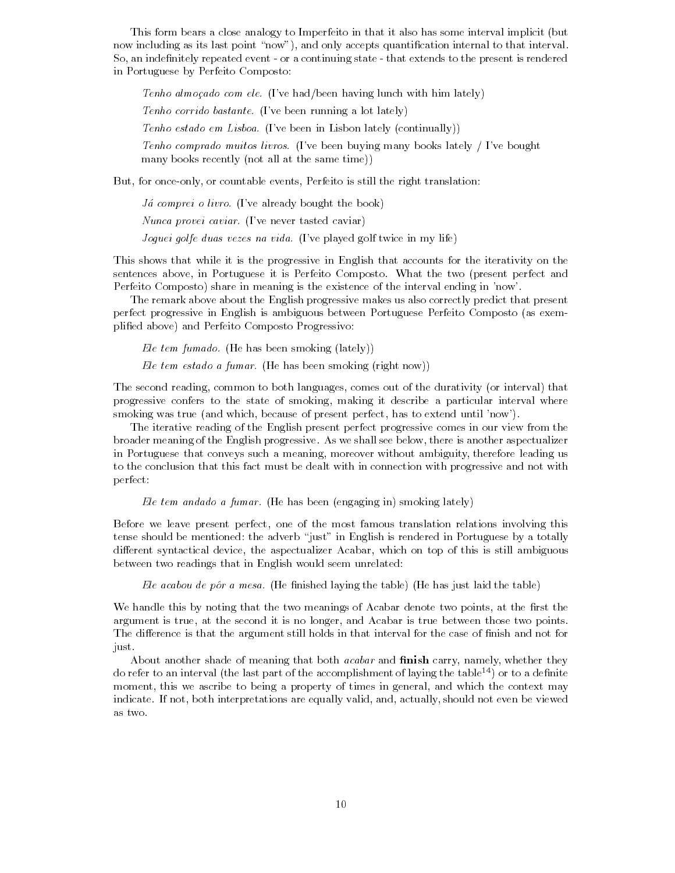This form bears a close analogy to Imperfeito in that it also has some interval implicit (but now including as its last point now- and only accepts quantication internal to that interval So- an indenitely repeated event or a continuing state that extends to the present is rendered in Portuguese by Perfeito Composto

Tenho almocado com ele. (I've had/been having lunch with him lately)

Tenho corrido bastante. (I've been running a lot lately)

Tenho estado em Lisboa. (I've been in Lisbon lately (continually))

Tenho comprado muitos livros. (I've been buying many books lately  $\int$  I've bought many books recently (not all at the same time))

But- for once only- or countable events- Perfeito is still the right translation

*Já comprei o livro.* (I've already bought the book)

Nunca provei caviar. (I've never tasted caviar)

Joguei golfe duas vezes na vida. (I've played golf twice in my life)

This shows that while it is the progressive in English that accounts for the iterativity on the sentences above- in Portuguese it is Perfeito Composto What the two present perfect and Perfeito Composto) share in meaning is the existence of the interval ending in 'now'.

The remark above about the English progressive makes us also correctly predict that present perfect progressive in English is ambiguous between Portuguese Perfeito Composto (as exemplified above) and Perfeito Composto Progressivo:

Ele tem fumado. (He has been smoking (lately))

Ele tem estado a fumar. (He has been smoking (right now))

The second reading- common to both languages- comes out of the durativity or interval that progressive confers to the state of smoking- making it describe a particular interval where smoking was true and which- because of present perfect- has to extend until now

The iterative reading of the English present perfect progressive comes in our view from the broader meaning of the English progressive As we shall see below- there is another aspectualizer in Portuguese that conveys such a meaning- moreover without ambiguity- therefore leading us to the conclusion that this fact must be dealt with in connection with progressive and not with perfect

Ele tem andado a fumar. (He has been (engaging in) smoking lately)

Before we leave present perfect- one of the most famous translation relations involving this tense should be mentioned: the adverb "just" in English is rendered in Portuguese by a totally adierent syntactical device-y entropy community the aspectualizer and the control of this is still and the con between two readings that in English would seem unrelated

Ele acabou de pôr a mesa. (He finished laying the table) (He has just laid the table)

we have the two this best that the two meanings of Acabar denotes two points-, at the rate the r argument is true, it the second it is no longer, which is the second it contact the points. The difference is that the argument still holds in that interval for the case of finish and not for just

About another shade of meaning that both acabar and -nish carry- namely- whether they do refer to an interval (the last part of the accomplishment of laying the table  $^{14}$ ) or to a definite moment-to being a property of times in general-to-being a property of times in general-to-being may be a proper indicate If not-pretations are equally valid-straightening and and-straightening into the viewed and viewed ar as two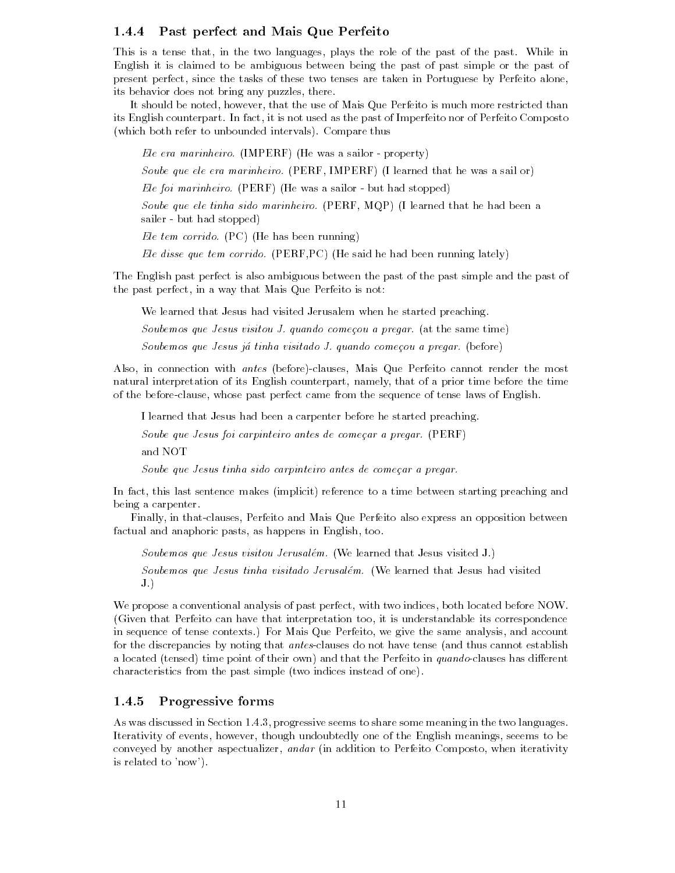### Past perfect and Mais Que Perfeito

this is a tensor theory for the two languages, plays the first in the past who past while in English it is claimed to be ambiguous between being the past of past simple or the past of present perfect the tasks of the tasks of the tasks of the talent in Portuguese by Perfect aloneits behavior does not bring any puzzles- there

. Showever-the motor and the use of Mais Andrews-Alexander and Mais and Mais and Mais Alexander than the use o its English counterpart In fact, it is not as the past of Imperfection as the past of  $\sim$ (which both refer to unbounded intervals). Compare thus

Ele era marinheiro IMPERF He was a sailor property

Soube que ele era marinheiro PERF- IMPERF I learned that he was a sail or

Ele foi marinheiro PERF He was a sailor but had stopped

Soube que ele tinha sido marinheiro PERF- MQP I learned that he had been a sailer but had stopped and stopped and stopped and stopped and stopped and stopped and stopped and stopped and

Ele tem corrido.  $(PC)$  (He has been running)

Ele disse que tem corrido PERF-PC He said he had been running lately

The English past perfect is also ambiguous between the past of the past simple and the past of the past perfect on a way that Mais Again were the Mais Que

We learned that Jesus had visited Jerusalem when he started preaching

Soubemos que Jesus visitou J. quando começou a pregar. (at the same time)

Soubemos que Jesus já tinha visitado J. quando começou a pregar. (before)

Also- in connection with antes before clauses- Mais Que Perfeito cannot render the most natural interpretation of its English counterpart-before the time before the time before the time before the t of the before clause- whose past perfect came from the sequence of tense laws of English

I learned that Jesus had been a carpenter before he started preaching

Soube que Jesus foi carpinteiro antes de começar a pregar. (PERF)

Soube que Jesus tinha sido carpinteiro antes de comecar a pregar

In fact- this last sentence makes implicit reference to a time between starting preaching and being a carpenter

Finally- in that clauses- Perfeito and Mais Que Perfeito also express an opposition between factual and anaphoric pasts- as happens in English- too

Soubemos que Jesus visitou Jerusalém. (We learned that Jesus visited J.) Soubemos que Jesus tinha visitado Jerusalém. (We learned that Jesus had visited  $J.$ 

We propose a conventional analysis of past perfect- with two indices- both located before NOW Given that Perfeito can have that interpretation too- it is understandable its correspondence in sequence of tense contexts For Mais Que Perfeito- we give the same analysis- and account for the discrepancies by noting that antes clauses do not have tense and thus cannot establish a located tensed time point of their own and that the Perfeito in quando clauses has di erent characteristics from the past simple (two indices instead of one).

#### Progressive forms

As was discussed in Section - progressive seems to share some meaning in the two languages Iterativity of events- however- though undoubtedly one of the English meanings- seeems to be conveyed by another aspectualizer-by and addition to Perfeit of the Perfeito Composito-Composito-Composito-Compositois related to 'now').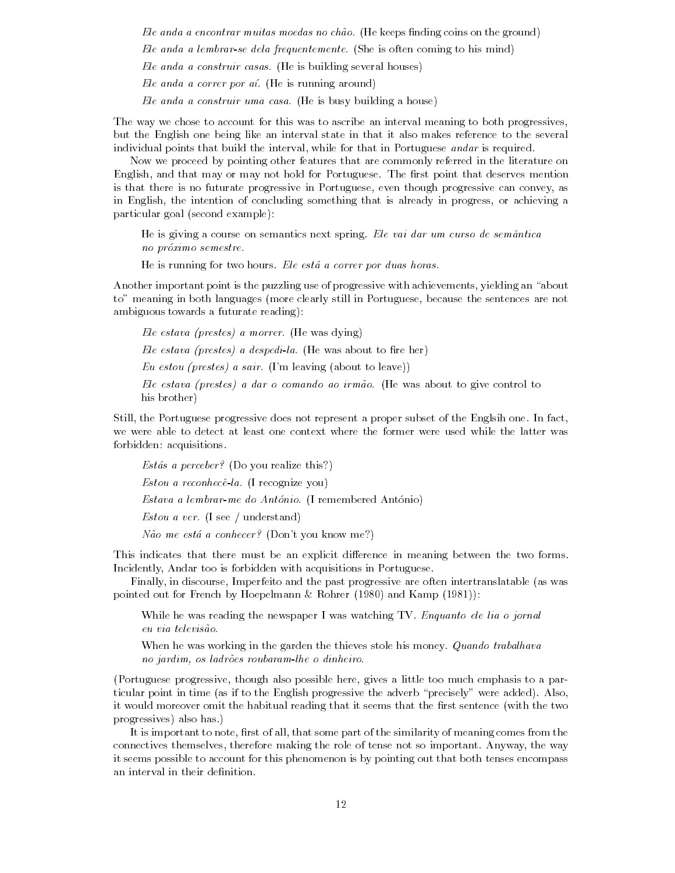Ele anda a encontrar muitas moedas no ch ao He keeps nding coins on the ground Ele anda a lembrar-se dela frequentemente. (She is often coming to his mind) Ele anda a construir casas. (He is building several houses) Ele anda a correr por  $a\ell$ . (He is running around)  $Ele$  anda a construir uma casa. (He is busy building a house)

The way we chose to account for this was to ascribe an interval meaning to both progressives, but the English one being like an interval state in that it also makes reference to the several individual points that build the interval- while for that in Portuguese andar is required

Now we proceed by pointing other features that are commonly referred in the literature on English- and that may or may not hold for Portuguese The rst point that deserves mention is that there is no futurate progressive in Portuguese- even though progressive can convey- as in English- the intention of concluding something that is already in progress- or achieving a particular goal (second example):

He is giving a course on semantics next spring. Ele vai dar um curso de semântica no proximo semestre

He is running for two hours. Ele está a correr por duas horas.

Another important point is the puzzling use of progressive with achievements- yielding an about to meaning in both languages more clearly still in Portuguese- because the sentences are not ambiguous towards a futurate reading

 $Ele$  estava (prestes) a morrer. (He was dying) Ele estava (prestes) a despedila. (He was about to fire her) Eu estou (prestes) a sair. (I'm leaving (about to leave)) Ele estava 
prestes a dar o comando ao irm ao He was about to give control to his brother)

Still- the Portuguese progressive does not represent a proper subset of the Englsih one In factwe were able to detect at least one context where the former were used while the latter was forbidden: acquisitions.

Estás a perceber? (Do you realize this?)  $Estou a reconhecê-la.$  (I recognize you)  $Estava$  a lembrar me do António. (I remembered António) Estou a ver. (I see / understand)

n ao me estaaconhecer Dont you know me estaaconhecer Dont you know me estadounidense en el control de la contro

This indicates that there must be an explicit difference in meaning between the two forms. Incidently- Andar too is forbidden with acquisitions in Portuguese

Finally- in discourse- Imperfeito and the past progressive are often intertranslatable as was pointed out for French by Hoepelmann & Rohrer (1980) and Kamp  $(1981)$ :

While he was reading the newspaper I was watching TV. Enquanto ele lia o jornal

When he was working in the garden the thieves stole his money. *Quando trabalhava* no jardim os ladrosta roubaramlhe o dinheiro.

, though also progressed in also give also possible to also provide the three components to a part ticular point in time (as if to the English progressive the adverb "precisely" were added). Also, it would moreover omit the habitual reading that it seems that the first sentence (with the two progressives) also has.

It is important to note- rst of all- that some part of the similarity of meaning comes from the connectives the constant the role of the making the solid of the way- as the position of the way- the wayit seems possible to account for this phenomenon is by pointing out that both tenses encompass an interval in their definition.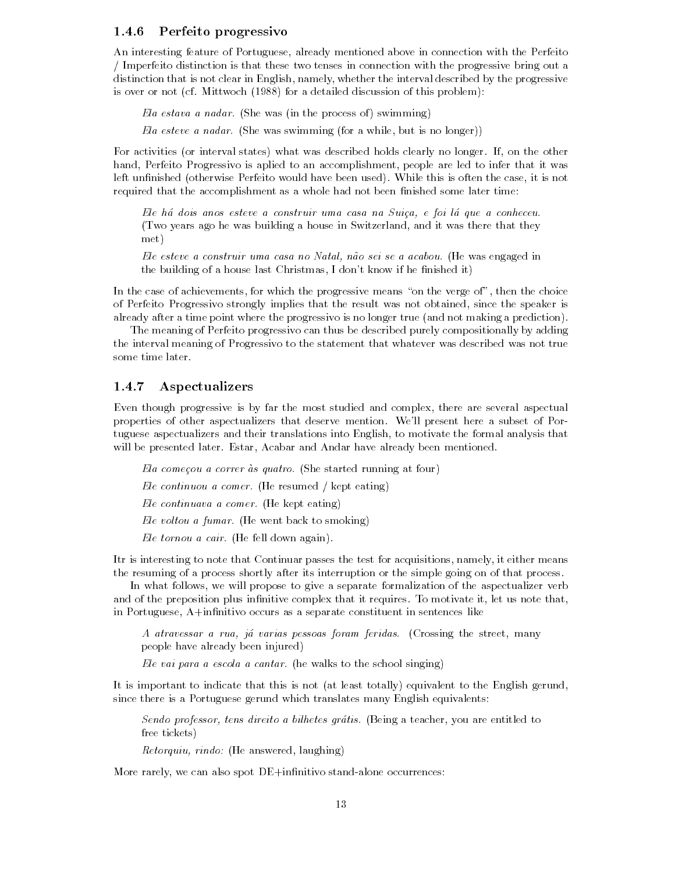#### Perfeito progressivo

An interesting feature of Portuguese- already mentioned above in connection with the Perfeito Imperfeito distinction is that these two tenses in connection with the progressive bring out a adistinction that is not clear in English-progressive clear interval described by the progressive co is over or not (cf. Mittwoch (1988) for a detailed discussion of this problem):

Ela estava a nadar. (She was (in the process of) swimming)

Ela esteve a nadar She was swimming for a while- but is no longer

For activities or interval states what was described holds clearly no longer If- on the other hand- Perfeito Progressivo is aplied to an accomplishment- people are led to infer that it was left unnished otherwise Perfeito would have been used While this is often the case- it is not required that the accomplishment as a whole had not been finished some later time:

Ele há dois anos esteve a construir uma casa na Suiça, e foi lá que a conheceu. Two years ago he was building a house in Switzerland- and it was there that they met

Ele esteve a construir uma casa no Natal n ao sei se a acabou He was engaged in the building of a house last Christmas- in house last Christmas- in her complete  $\mathbf{r}_1$ 

In the case of achievements-then the progressive means on the vergees on the verge ofof Perfeit Progressivo strongly implies that the result was not obtained, where the speaker is already after a time point where the progressivo is no longer true (and not making a prediction).

The meaning of Perfeito progressivo can thus be described purely compositionally by adding the interval meaning of Progressivo to the statement that whatever was described was not true some time later

### Aspectualizers

Even though progressive is by far the most studied and complex- there are several aspectual properties of other aspectualizers that deserve mention Well present here a subset of Por tuguese aspectualizers and their translations into English- to motivate the formal analysis that will be presented later Estate and Andar have already been mentioned been mentioned been mentioned been mentio

Ela começou a correr às quatro. (She started running at four) Ele continuou a comer. (He resumed / kept eating) Ele continuava a comer. (He kept eating) Ele voltou a fumar. (He went back to smoking) Ele tornou a cair. (He fell down again).

Itr is interesting to note that Continuar passes the test for acquisitions- namely- it either means the resuming of a process shortly after its interruption or the simple going on of that process

In what follows- we will propose to give a separate formalization of the aspectualizer verb and of the preposition plus innitive complex that it requires To motivate it- let us note thatin Portuguese- A!innitivo occurs as a separate constituent in sentences like

A atravessar a rua ja varias pessoas foram feridas Crossing the street- many people have already been injured

Ele vai para a escola a cantar. (he walks to the school singing)

It is important to indicate that this is not (at least totally) equivalent to the English gerund, since there is a Portuguese gerund which translates many English equivalents

Sendo professor tens direito a bilhetes gratis Being a teacher- you are entitled to free tickets

Retorquiu rindo He answered- laughing

More rarely- we can also spot DE!innitivo stand alone occurrences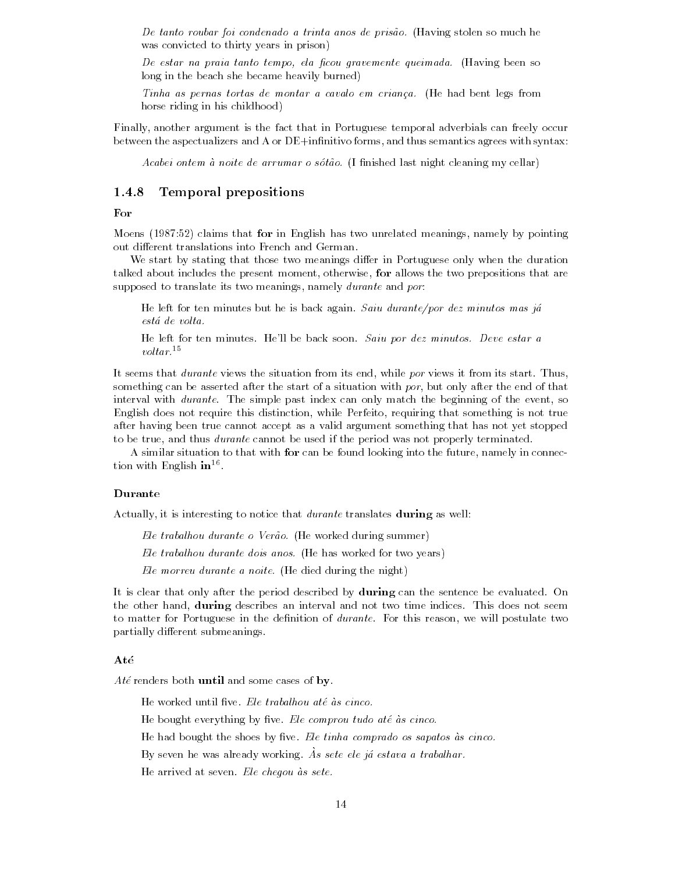De tanto roubar foi condenado a trinta anos de pris ao Having stolen so much he was convicted to thirty years in prison

De estar na praia tanto tempo ela -cou gravemente queimada Having been so long in the beach she became heavily burned)

Tinha as pernas tortas de montar a cavalo em crianca He had bent legs from horse riding in his childhood)

Finally- another argument is the fact that in Portuguese temporal adverbials can freely occur between the aspectualizers and A or DE!innitivo forms- and thus semantics agrees with syntax

Acabei ontem a noite de arrumar o sot ao I nished last night cleaning my cellar

#### Temporal prepositions

#### For

Moens 
 claims that for in English has two unrelated meanings- namely by pointing out different translations into French and German.

We start by stating that those two meanings differ in Portuguese only when the duration talked about includes the present moment-present moment-wise-university that allows prepositions that the two supposed to translate its two meanings- namely durante and por

He left for ten minutes but he is back again. Saiu durante/por dez minutos mas já está de volta.

He left for ten minutes. He'll be back soon. Saiu por dez minutos. Deve estar a  $voltar.<sup>15</sup>$ 

. Seems that during the situation from its start of the situation in the situation from its start Thussomething can be asserted after the start of a starting with por-position with the end of that interval with durante The simple past index can only match the beginning of the event- so English does not require this distinction- while Perfeito- requiring that something is not true after having been true cannot accept as a valid argument something that has not yet stopped to be true-, where the used if the period if the period if the period was not properly terminated was not be u

A similar situation to that with for can be found looking into the future- namely in connec tion with English **in** Let

#### Durante

Actually- it is interesting to notice that durante translates during as well

Ele trabalhou durante o Ver ao He worked during summer

 $Ele$  trabalhou durante dois anos. (He has worked for two years)

Ele morreu durante a noite. (He died during the night)

It is clear that only after the period described by during can the sentence be evaluated. On the other hand- $\alpha$  describes and interval and not the note that the notice there are not seem. to matters for Portuguese in the denimities in durantee Portuguese for this postulate two two partially different submeanings.

Até renders both until and some cases of by.

He worked until five. Ele trabalhou até às cinco.

He bought everything by five. Ele comprou tudo até às cinco.

He had bought the shoes by five. Ele tinha comprado os sapatos às cinco.

 $Dy$  seven he was alleauy working. As sete ele ja estava a trabalhar.

He arrived at seven. Ele cheqou às sete.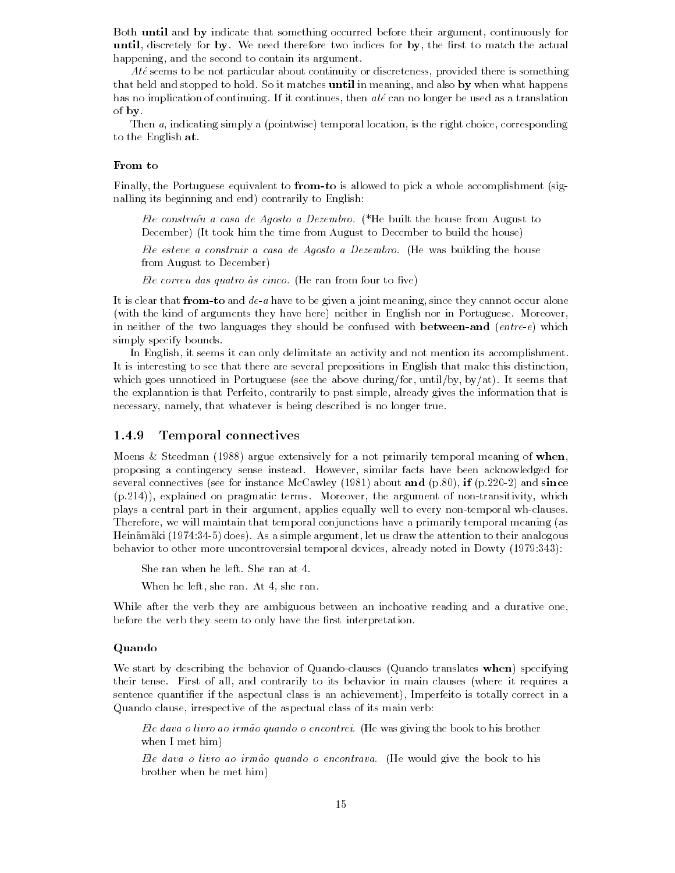Both until and by indicate that something occurred before their argument- continuously for until-discrete for by-we need the rst to match the rst to match the rst to match the actual to match the actual happening-to-contain its argument to contain its argument of the second to contain its argument of the second t

Ate seems to be not particular about continuity or discreteness- provided there is something that held and stopped to hold So it matches until in meaning- and also by when what happens has no implication of continuing If it continues- then ate can no longer be used as a translation of by

Then a- indicating simply a pointwise temporal location- is the right choice- corresponding to the English at

#### From to

Finally- the Portuguese equivalent to fromto is allowed to pick a whole accomplishment sig nalling its beginning and end) contrarily to English:

Ele construíu a casa de Agosto a Dezembro. (\*He built the house from August to December) (It took him the time from August to December to build the house)

Ele esteve a construir a casa de Agosto a Dezembro. (He was building the house from August to December

Ele correu das quatro às cinco. (He ran from four to five)

It is clear that fromto and dea have to be given a joint meaning- since they cannot occur alone (with the kind of arguments they have here) neither in English nor in Portuguese. Moreover, in neither of the two languages they should be confused with **between-and** (entre-e) which simply specify bounds

in English-it seems it suit an activity and not mention its activity and not mention its accomplishment. It is interesting to see that there are several prepositions in English that make this distinctionwhich goes under the above goes the above the above during that where  $\mu$  also the above that the seed the explanation is that Perfeito- contrarily to past simple- already gives the information that is necessary-that whatever is being described in the control of the control of the control of the control of the c

#### Temporal connectives

Moens & Steedman (1988) argue extensively for a not primarily temporal meaning of when, proposing a contingency sense instead However- similar facts have been acknowledged for several connections see for instance McCawley and p-matrix and p-matrix and p-matrix and p-matrix and p-matrix and p-matrix and p-matrix and p-matrix and p-matrix and p-matrix and p-matrix and p-matrix and p-matrix and p-m p
- explained on pragmatic terms Moreover- the argument of non transitivity- which plays a central part in their argument- applies equally well to every non temporal wh clauses Therefore- we will maintain that temporal conjunctions have a primarily temporal meaning as Heinamaki  does As a simple argument- let us draw the attention to their analogous behavior to other more uncontroversial temporal devices- already noted in Dowty 

She ran when he left. She ran at 4.

when he she is a sheet that is a sheet of the sheet of the sheet of the sheet of the sheet of the sheet of the

While after the verb they are ambiguous between an inchoative reading and a durative one, before the verb they seem to only have the first interpretation.

#### Quando

We start by describing the behavior of Quando clauses Quando translates when specifying their tense First of all- and contrarily to its behavior in main clauses where it requires a sentence quantier if the aspectual class is an achievement- Imperfeito is totally correct in a Quando clause- irrespective of the aspectual class of its main verb

Ele dava o livro ao irm ao quando o encontrei He was giving the book to his brother when I met him

Ele dava o livro ao irm ao quando o encontrava He would give the book to his brother when he met him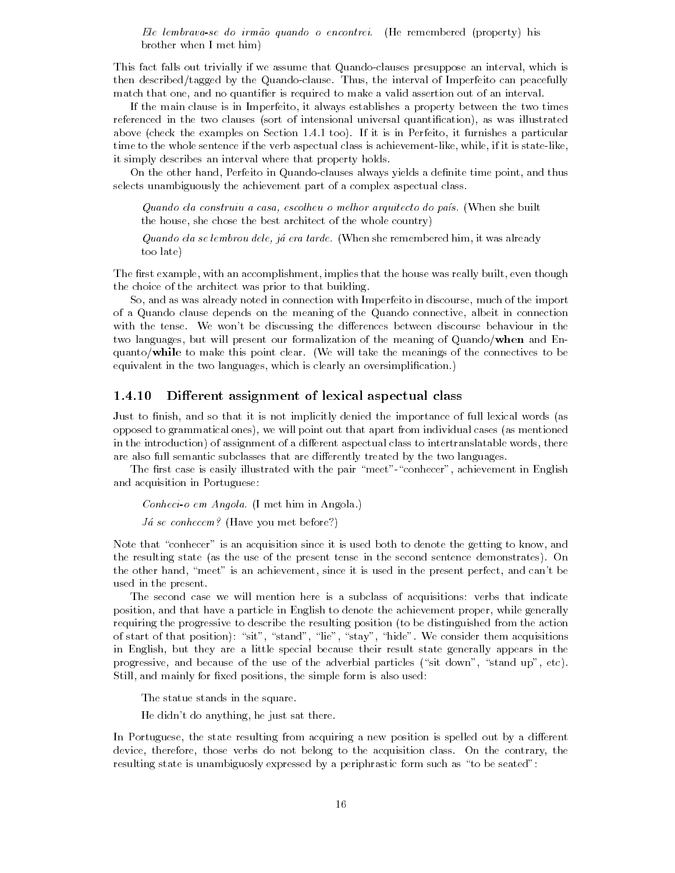Ele lembravase do irm ao quando o encontrei He remembered property his brother when I met him

This fact falls out trivially if we assume that Quando clauses presuppose an interval- which is then described by the interval of Imperial of Imperial of Imperial of Imperial of Imperial of Imperial of Imperial of Imperial of Imperial of Imperial of Imperial of Imperial of Imperial of Imperial of Imperial of Imperial match that one- and no quantier is required to makeavalid assertion out of an interval

If the main clause is in Imperfeito- it always establishes a property between the two times referenced in the two clauses sort of intensional universal quantication- as was illustrated above check the examples on Section at the example of the Contentral or Perfection and particular time to the whole statement is the verb aspectual class is achievement class is achievement of a state through it simply describes an interval where that property holds

On the class hand-off classes and Quandoms clauses always yields a delivery from point- pointselects unambiguously the achievement part of a complex aspectual class

Quando ela construiu a casa, escolheu o melhor arquitecto do país. (When she built ... she chose the best architect of the sheet of the whole country,

Quando ela se lembrou dele ja era tarde When she remembered him- it was already too late

The rst example- with an accomplishment- implies that the house was really built- even though the choice of the architect was prior to that building

, and as was well as well as well in connection with indicate in discourse-  $\alpha$  and  $\alpha$  is a component of the import of a Quando clause depends on the meaning of the Quando connective- albeit in connection with the tense. We won't be discussing the differences between discourse behaviour in the the company and the present our corresponded or the meaning of Quandow and End En quanto/while to make this point clear. (We will take the meanings of the connectives to be equivalent in the two languages, which is clearly and a clearly and contact  $\mu$ 

#### Different assignment of lexical aspectual class

 $\blacksquare$  and so that it is not implicitly denied the implicitly denied the importance of full lexical words as a set of full lexical words as a set of full lexical words as a set of full lexical words as a set of full lexic opposed to grammatical ones- we will point out that apart from individual cases as mentioned in the introduction of assignment of a direction of a distribution of a distribution of a distribution of a distribution of a distribution of a distribution of a distribution of  $\Gamma$ are also full semantic subclasses that are differently treated by the two languages.

The rst case is easily illustrated with the pair meet conhecer- achievement in English and acquisition in Portuguese

 $Conheci-<sub>o</sub>em Angola. (I met him in Angola.)$ 

 $Já se conhecem?$  (Have you met before?)

Note that conhecer is an acquisition since it is used both to denote the getting to know- and the resulting state (as the use of the present tense in the second sentence demonstrates). On the other hand- meet is an achievement- since it is used in the present perfect- and cant be used in the present

The second case we will mention here is a subclass of acquisitions: verbs that indicate position- and that have a particle in English to denote the achievement proper- while generally requiring the progressive to describe the resulting position (to be distinguished from the action of start of that position sit- states are the stand-them according to the states of the considerations of the in English- but they are a little special because their result state generally appears in the progressive- and because of the use of the use of the particles situation is decoded up- and provided the stand still and mainly for mainly positions, and simple form is also used the simple form is also in

The statue stands in the square.

He didnt do anything- he just sat there

In Portuguese- the state resulting from acquiring a new position is spelled out by a di erent device-therefore-therefore-therefore-the-actual theory-the-actual theory-the-actual the-actual the-actual theresulting state is unambiguosly expressed by a periphrastic form such as "to be seated":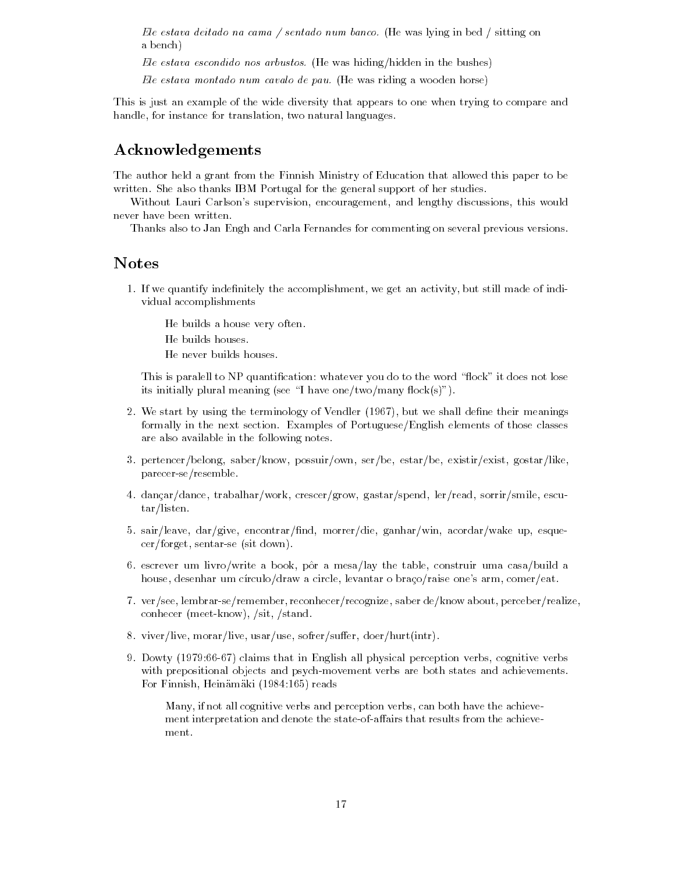Ele estava deitado na cama / sentado num banco. (He was lying in bed / sitting on a bench

Ele estava escondido nos arbustos. (He was hiding/hidden in the bushes)

Ele estava montado num cavalo de pau. (He was riding a wooden horse)

This is just an example of the wide diversity that appears to one when trying to compare and mandle-instance-for the translation-translation-translation-translation-

# Acknowledgements

The author held a grant from the Finnish Ministry of Education that allowed this paper to be written. She also thanks IBM Portugal for the general support of her studies.

with Lauri Carlsons supervision-lengthy discussion-lengthy discussion-lengthy discussion-lengthy discussion-len never have been written

Thanks also to Jan Engh and Carla Fernandes for commenting on several previous versions

## Notes

If we get an activity-the activity-the activity-the activity-the-still made of individual made of individual ma vidual accomplishments

He builds a house very often

He builds houses

He never builds houses.

This is paralell to NP quantification: whatever you do to the word "flock" it does not lose its initially plural meaning (see "I have one/two/many flock(s)").

- we start by using the terminology of Vendler  $\mathcal{A}$  and the shall density means  $\mathcal{A}$ formally in the next section. Examples of Portuguese/English elements of those classes are also available in the following notes
- pertencerbelong- saberknow- possuirown- serbe- estarbe- existirexist- gostarlikeparecer seresemble
- ar crescergrow-lerread-crescergrow-lerread-lerread-lerread-lerread-crescergrow-lerread-crescergrow-lerreadtar/listen.
- sairleave-ganharwin-ganharwin-ganharwin-ganharwin-ganharwin-ganharwin-ganharwin-ganharwin-ganharwinse jiere alle verseerde van door de sit door de gewone van de gewone van de gewone van de gewone van de gewone
- es construir weer ensing within an original political construir construir under the table- of the tableer des , desenhar um comercial, deux un comerciale comercial a circle-atomic comercial comercial comercial com
- verseer, saber de algebraren about en een deknowe about de algebrare algebraren about perceberren about en e conhecer meet and contact the standard contact of the standard contact of the standard contact of the standard
- e-doerhurtintriëlijk is doerhuid van de kommen van de kommen van de kommen van de kommen van de kommen van de
- or control percent in englished all physical perceptions of the complete verbswith prepositional objects and psychological control collection states and achievements are both states and For Finnish- Heinamaki reads

Many- if not all cognitive verbs and perception verbs- can both have the achieve of the state presented that the state the state the state that the state the state of the state of the achieve ment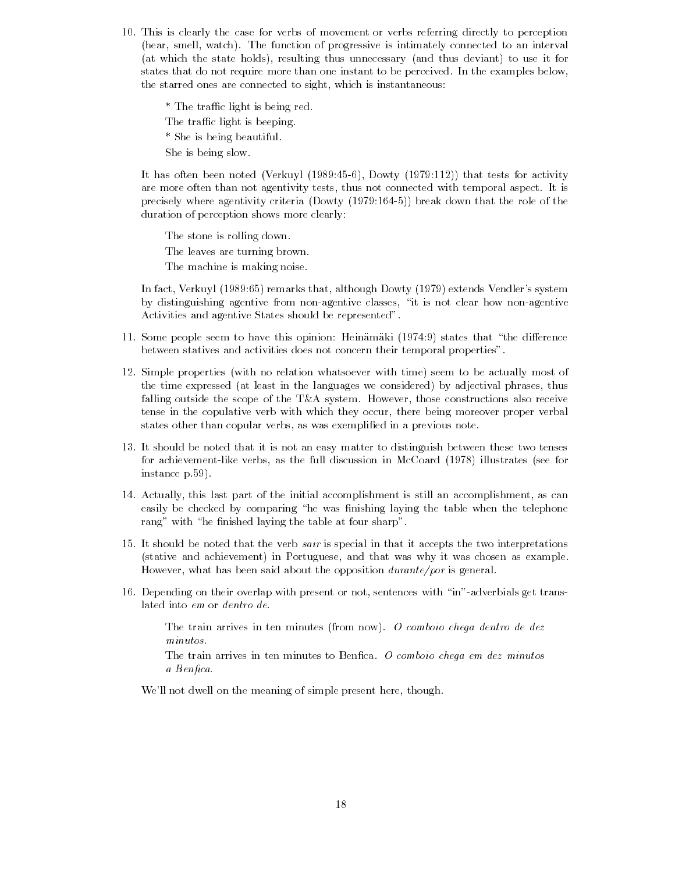This is clearly the case for verbs of movement or verbs referring directly to perception hear- smell- watch The function of progressive is intimately connected to an interval at which the state holds- resulting thus unnecessary and thus deviant to use it for states that do not require more than one instant to be perceived. In the examples below, the starred ones are connected to sight- which is instantaneous

\* The traffic light is being red. The traffic light is beeping. \* She is being beautiful. She is being slow

. It is a complete that the vertex  $\mathcal{L}_{\mathcal{A}}$  is the contract  $\mathcal{L}_{\mathcal{A}}$  is a contract that the contract of are more connected with temporal aspected with temporal aspected with temporal aspect it is precisely where agenticity criteria  $\rho$  and  $\rho$  the role of the role of the role of the role of the role of duration of perception shows more clearly

The stone is rolling down The leaves are turning brown The machine is making noise

In fact- Verkuyl remarks that- although Dowty extends Vendlers system by distinguishing agentive from non agentive classes- it is not clear how non agentive Activities and agentive States should be represented

- 11. Some people seem to have this opinion: Heinamaki  $(1974.9)$  states that "the difference between statives and activities does not concern their temporal properties
- 12. Simple properties (with no relation whatsoever with time) seem to be actually most of the time expressed at least in the languages we considered by adjectival phrases- thus falling outside the scope of the TA system However- those constructions also receive tense in the copulative verb with which they occur- there being moreover proper verbal states other than copular verbs- as was was executed in a previous note.
- It should be noted that it is not an easy matter to distinguish between these two tenses for achievement like verbs- as the full discussion in McCoard illustrates see for instance p.59).
- actually-this last part is the initial accomplishment is still and the initial accomplishment is the compli easily be checked by comparing "he was finishing laying the table when the telephone rang" with "he finished laying the table at four sharp".
- It should be noted that the verb sair is special in that it accepts the two interpretations stative and achievement in Portuguese- and that was why it was chosen as example However- what has been said about the opposition durantepor is general
- Depending on their overlap with present or not- sentences with in adverbials get trans lated into em or dentro de

The train arrives in ten minutes (from now). O comboio chega dentro de dez minutos

The train arrives in ten minutes to Benfica. O comboio chega em dez minutos a Ben-Stein and the Stein and the Stein and the Stein and the Stein and the Stein and the Stein and the Stein

we are the meaning of simple present here  $\mathbf{q}$  .